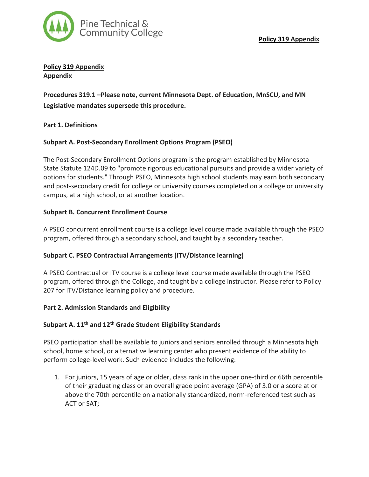

## **Policy 319 Appendix Appendix**

**Procedures 319.1 –Please note, current Minnesota Dept. of Education, MnSCU, and MN Legislative mandates supersede this procedure.**

#### **Part 1. Definitions**

### **Subpart A. Post-Secondary Enrollment Options Program (PSEO)**

The Post-Secondary Enrollment Options program is the program established by Minnesota State Statute 124D.09 to "promote rigorous educational pursuits and provide a wider variety of options for students." Through PSEO, Minnesota high school students may earn both secondary and post-secondary credit for college or university courses completed on a college or university campus, at a high school, or at another location.

### **Subpart B. Concurrent Enrollment Course**

A PSEO concurrent enrollment course is a college level course made available through the PSEO program, offered through a secondary school, and taught by a secondary teacher.

#### **Subpart C. PSEO Contractual Arrangements (ITV/Distance learning)**

A PSEO Contractual or ITV course is a college level course made available through the PSEO program, offered through the College, and taught by a college instructor. Please refer to Policy 207 for ITV/Distance learning policy and procedure.

#### **Part 2. Admission Standards and Eligibility**

#### **Subpart A. 11th and 12th Grade Student Eligibility Standards**

PSEO participation shall be available to juniors and seniors enrolled through a Minnesota high school, home school, or alternative learning center who present evidence of the ability to perform college-level work. Such evidence includes the following:

1. For juniors, 15 years of age or older, class rank in the upper one-third or 66th percentile of their graduating class or an overall grade point average (GPA) of 3.0 or a score at or above the 70th percentile on a nationally standardized, norm-referenced test such as ACT or SAT;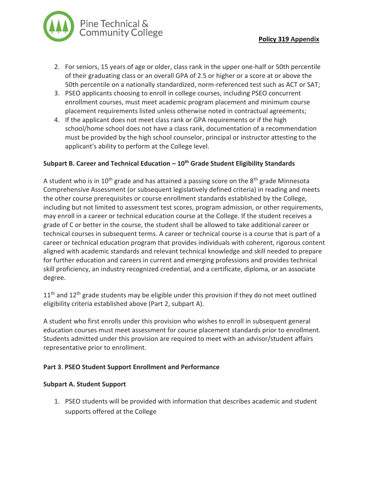

- 2. For seniors, 15 years of age or older, class rank in the upper one-half or 50th percentile of their graduating class or an overall GPA of 2.5 or higher or a score at or above the 50th percentile on a nationally standardized, norm-referenced test such as ACT or SAT;
- 3. PSEO applicants choosing to enroll in college courses, including PSEO concurrent enrollment courses, must meet academic program placement and minimum course placement requirements listed unless otherwise noted in contractual agreements;
- 4. If the applicant does not meet class rank or GPA requirements or if the high school/home school does not have a class rank, documentation of a recommendation must be provided by the high school counselor, principal or instructor attesting to the applicant's ability to perform at the College level.

# **Subpart B. Career and Technical Education – 10th Grade Student Eligibility Standards**

A student who is in 10<sup>th</sup> grade and has attained a passing score on the  $8<sup>th</sup>$  grade Minnesota Comprehensive Assessment (or subsequent legislatively defined criteria) in reading and meets the other course prerequisites or course enrollment standards established by the College, including but not limited to assessment test scores, program admission, or other requirements, may enroll in a career or technical education course at the College. If the student receives a grade of C or better in the course, the student shall be allowed to take additional career or technical courses in subsequent terms. A career or technical course is a course that is part of a career or technical education program that provides individuals with coherent, rigorous content aligned with academic standards and relevant technical knowledge and skill needed to prepare for further education and careers in current and emerging professions and provides technical skill proficiency, an industry recognized credential, and a certificate, diploma, or an associate degree.

 $11<sup>th</sup>$  and  $12<sup>th</sup>$  grade students may be eligible under this provision if they do not meet outlined eligibility criteria established above (Part 2, subpart A).

A student who first enrolls under this provision who wishes to enroll in subsequent general education courses must meet assessment for course placement standards prior to enrollment. Students admitted under this provision are required to meet with an advisor/student affairs representative prior to enrollment.

#### **Part 3**. **PSEO Student Support Enrollment and Performance**

#### **Subpart A. Student Support**

1. PSEO students will be provided with information that describes academic and student supports offered at the College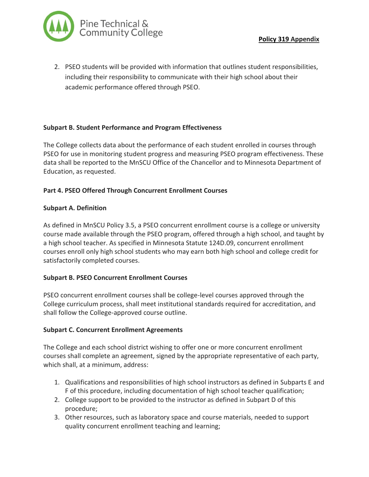

2. PSEO students will be provided with information that outlines student responsibilities, including their responsibility to communicate with their high school about their academic performance offered through PSEO.

# **Subpart B. Student Performance and Program Effectiveness**

The College collects data about the performance of each student enrolled in courses through PSEO for use in monitoring student progress and measuring PSEO program effectiveness. These data shall be reported to the MnSCU Office of the Chancellor and to Minnesota Department of Education, as requested.

# **Part 4. PSEO Offered Through Concurrent Enrollment Courses**

### **Subpart A. Definition**

As defined in MnSCU Policy 3.5, a PSEO concurrent enrollment course is a college or university course made available through the PSEO program, offered through a high school, and taught by a high school teacher. As specified in Minnesota Statute 124D.09, concurrent enrollment courses enroll only high school students who may earn both high school and college credit for satisfactorily completed courses.

# **Subpart B. PSEO Concurrent Enrollment Courses**

PSEO concurrent enrollment courses shall be college-level courses approved through the College curriculum process, shall meet institutional standards required for accreditation, and shall follow the College-approved course outline.

# **Subpart C. Concurrent Enrollment Agreements**

The College and each school district wishing to offer one or more concurrent enrollment courses shall complete an agreement, signed by the appropriate representative of each party, which shall, at a minimum, address:

- 1. Qualifications and responsibilities of high school instructors as defined in Subparts E and F of this procedure, including documentation of high school teacher qualification;
- 2. College support to be provided to the instructor as defined in Subpart D of this procedure;
- 3. Other resources, such as laboratory space and course materials, needed to support quality concurrent enrollment teaching and learning;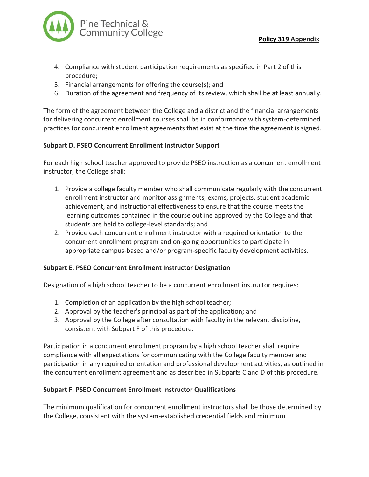

- 4. Compliance with student participation requirements as specified in Part 2 of this procedure;
- 5. Financial arrangements for offering the course(s); and
- 6. Duration of the agreement and frequency of its review, which shall be at least annually.

The form of the agreement between the College and a district and the financial arrangements for delivering concurrent enrollment courses shall be in conformance with system-determined practices for concurrent enrollment agreements that exist at the time the agreement is signed.

# **Subpart D. PSEO Concurrent Enrollment Instructor Support**

For each high school teacher approved to provide PSEO instruction as a concurrent enrollment instructor, the College shall:

- 1. Provide a college faculty member who shall communicate regularly with the concurrent enrollment instructor and monitor assignments, exams, projects, student academic achievement, and instructional effectiveness to ensure that the course meets the learning outcomes contained in the course outline approved by the College and that students are held to college-level standards; and
- 2. Provide each concurrent enrollment instructor with a required orientation to the concurrent enrollment program and on-going opportunities to participate in appropriate campus-based and/or program-specific faculty development activities.

# **Subpart E. PSEO Concurrent Enrollment Instructor Designation**

Designation of a high school teacher to be a concurrent enrollment instructor requires:

- 1. Completion of an application by the high school teacher;
- 2. Approval by the teacher's principal as part of the application; and
- 3. Approval by the College after consultation with faculty in the relevant discipline, consistent with Subpart F of this procedure.

Participation in a concurrent enrollment program by a high school teacher shall require compliance with all expectations for communicating with the College faculty member and participation in any required orientation and professional development activities, as outlined in the concurrent enrollment agreement and as described in Subparts C and D of this procedure.

# **Subpart F. PSEO Concurrent Enrollment Instructor Qualifications**

The minimum qualification for concurrent enrollment instructors shall be those determined by the College, consistent with the system-established credential fields and minimum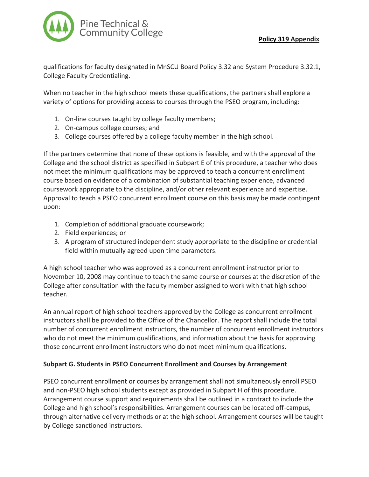

qualifications for faculty designated in MnSCU Board Policy 3.32 and System Procedure 3.32.1, College Faculty Credentialing.

When no teacher in the high school meets these qualifications, the partners shall explore a variety of options for providing access to courses through the PSEO program, including:

- 1. On-line courses taught by college faculty members;
- 2. On-campus college courses; and
- 3. College courses offered by a college faculty member in the high school.

If the partners determine that none of these options is feasible, and with the approval of the College and the school district as specified in Subpart E of this procedure, a teacher who does not meet the minimum qualifications may be approved to teach a concurrent enrollment course based on evidence of a combination of substantial teaching experience, advanced coursework appropriate to the discipline, and/or other relevant experience and expertise. Approval to teach a PSEO concurrent enrollment course on this basis may be made contingent upon:

- 1. Completion of additional graduate coursework;
- 2. Field experiences; or
- 3. A program of structured independent study appropriate to the discipline or credential field within mutually agreed upon time parameters.

A high school teacher who was approved as a concurrent enrollment instructor prior to November 10, 2008 may continue to teach the same course or courses at the discretion of the College after consultation with the faculty member assigned to work with that high school teacher.

An annual report of high school teachers approved by the College as concurrent enrollment instructors shall be provided to the Office of the Chancellor. The report shall include the total number of concurrent enrollment instructors, the number of concurrent enrollment instructors who do not meet the minimum qualifications, and information about the basis for approving those concurrent enrollment instructors who do not meet minimum qualifications.

# **Subpart G. Students in PSEO Concurrent Enrollment and Courses by Arrangement**

PSEO concurrent enrollment or courses by arrangement shall not simultaneously enroll PSEO and non-PSEO high school students except as provided in Subpart H of this procedure. Arrangement course support and requirements shall be outlined in a contract to include the College and high school's responsibilities. Arrangement courses can be located off-campus, through alternative delivery methods or at the high school. Arrangement courses will be taught by College sanctioned instructors.